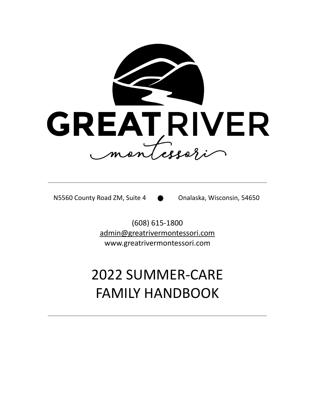

N5560 County Road ZM, Suite 4 **Conalaska**, Wisconsin, 54650

(608) 615-1800 [admin@greatrivermontessori.com](mailto:admin@greatrivermontessori.com) www.greatrivermontessori.com

# 2022 SUMMER-CARE FAMILY HANDBOOK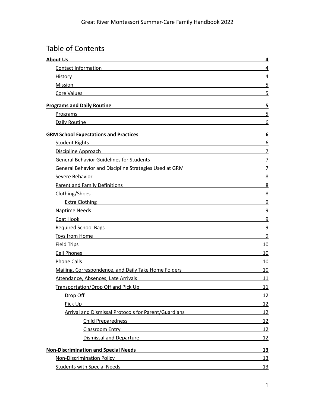# Table of Contents

| <b>About Us</b>                                                                                                                                                                                                                   | $\overline{4}$ |
|-----------------------------------------------------------------------------------------------------------------------------------------------------------------------------------------------------------------------------------|----------------|
| Contact Information                                                                                                                                                                                                               | 4              |
| <b>History</b>                                                                                                                                                                                                                    | $\overline{4}$ |
| Mission                                                                                                                                                                                                                           | $\overline{5}$ |
| Core Values                                                                                                                                                                                                                       | 5              |
| <b>Programs and Daily Routine</b>                                                                                                                                                                                                 | 5              |
| Programs<br><u> 1989 - Johann Barn, mars ann an t-Amhain an t-Amhain an t-Amhain an t-Amhain an t-Amhain an t-Amhain an t-Amh</u>                                                                                                 | 5              |
| Daily Routine <b>Daily Routine</b>                                                                                                                                                                                                | 6              |
| <b>GRM School Expectations and Practices</b>                                                                                                                                                                                      | 6              |
| <b>Student Rights</b>                                                                                                                                                                                                             | 6              |
| Discipline Approach<br><u> 1980 - Johann Stein, fransk politik (f. 1980)</u>                                                                                                                                                      | $\overline{7}$ |
| <b>General Behavior Guidelines for Students</b>                                                                                                                                                                                   | $\overline{7}$ |
| <b>General Behavior and Discipline Strategies Used at GRM</b>                                                                                                                                                                     | $\overline{7}$ |
| Severe Behavior                                                                                                                                                                                                                   | 8              |
| <b>Parent and Family Definitions</b>                                                                                                                                                                                              | 8              |
| Clothing/Shoes                                                                                                                                                                                                                    | 8              |
| Extra Clothing Property of the Clothing Contract of the Clothing Contract of the Clothing Contract of the Clothing Contract of the Clothing Contract of the Clothing Contract of the Clothing Contract of the Clothing Contrac    | 9              |
| <b>Naptime Needs</b>                                                                                                                                                                                                              | 9              |
| Coat Hook<br><u> 1989 - Johann Stein, marwolaethau a bhann an t-Amhain an t-Amhain an t-Amhain an t-Amhain an t-Amhain an t-A</u>                                                                                                 | 9              |
| Required School Bags <b>School Bags Example 20</b> and 20 and 20 and 20 and 20 and 20 and 20 and 20 and 20 and 20 and 20 and 20 and 20 and 20 and 20 and 20 and 20 and 20 and 20 and 20 and 20 and 20 and 20 and 20 and 20 and 20 | $\overline{9}$ |
| Toys from Home The Contract of the Contract of Toys from Home                                                                                                                                                                     | 9              |
| <b>Field Trips</b>                                                                                                                                                                                                                | 10             |
| Cell Phones                                                                                                                                                                                                                       | 10             |
| <b>Phone Calls</b>                                                                                                                                                                                                                | 10             |
| Mailing, Correspondence, and Daily Take Home Folders                                                                                                                                                                              | 10             |
| Attendance, Absences, Late Arrivals                                                                                                                                                                                               | 11             |
| Transportation/Drop Off and Pick Up                                                                                                                                                                                               | 11             |
| Drop Off<br><u> 1989 - Johann Barn, amerikansk politiker (d. 1989)</u>                                                                                                                                                            | <u>12</u>      |
| Pick Up                                                                                                                                                                                                                           | 12             |
| Arrival and Dismissal Protocols for Parent/Guardians                                                                                                                                                                              | 12             |
| <b>Child Preparedness</b>                                                                                                                                                                                                         | 12             |
| Classroom Entry<br><u> 1989 - Johann Barn, mars ann an t-Amhain Aonaich an t-Aonaich an t-Aonaich ann an t-Aonaich ann an t-Aonaich</u>                                                                                           | 12             |
| <b>Dismissal and Departure</b><br><u> 1989 - Andrea Andrew Maria (h. 1989).</u>                                                                                                                                                   | 12             |
| <b>Non-Discrimination and Special Needs</b><br><u> 1989 - Johann John Stone, mars et al. 1989 - John Stone, mars et al. 1989 - John Stone, mars et al. 1989 - Joh</u>                                                             | <u>13</u>      |
| <b>Non-Discrimination Policy</b><br><u> 1980 - Jan Barat, martin amerikan basal dan berasal dalam basal dalam basal dalam basal dalam basal dalam ba</u>                                                                          | <u> 13</u>     |
| <b>Students with Special Needs</b>                                                                                                                                                                                                | <u>13</u>      |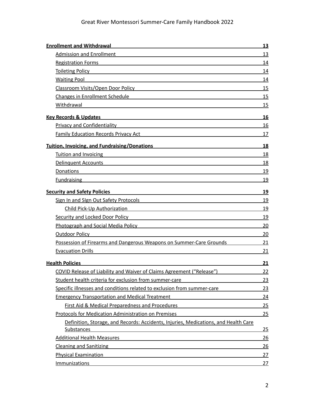| <b>Enrollment and Withdrawal</b><br><u> 1989 - Johann Stein, mars an deutscher Stein († 1989)</u>                                                                                                                                    | <u>13</u> |
|--------------------------------------------------------------------------------------------------------------------------------------------------------------------------------------------------------------------------------------|-----------|
| Admission and Enrollment <b>Example 20</b> No. 2014 12:38:38                                                                                                                                                                         | 13        |
| <b>Registration Forms</b><br><u> 1989 - Johann Stoff, deutscher Stoff, der Stoff, der Stoff, der Stoff, der Stoff, der Stoff, der Stoff, der S</u>                                                                                   | 14        |
| Toileting Policy <b>Container Container Container Container Container Container Container Container Container Container</b>                                                                                                          | 14        |
| <b>Waiting Pool</b>                                                                                                                                                                                                                  | 14        |
| Classroom Visits/Open Door Policy and Contact the Classroom Visits/Open Door Policy                                                                                                                                                  | 15        |
| <b>Changes in Enrollment Schedule</b>                                                                                                                                                                                                | 15        |
| Withdrawal                                                                                                                                                                                                                           | 15        |
| <b>Key Records &amp; Updates</b>                                                                                                                                                                                                     | 16        |
| <b>Privacy and Confidentiality Construction Construction Construction Construction Construction Construction Const</b>                                                                                                               | <u>16</u> |
| <b>Family Education Records Privacy Act Frame State State State State State State State State State State State State State State State State State State State State State State State State State State State State State Stat</b> | 17        |
| <b>Tuition, Invoicing, and Fundraising/Donations</b>                                                                                                                                                                                 | <b>18</b> |
| Tuition and Invoicing                                                                                                                                                                                                                | 18        |
| Delinquent Accounts and the control of the control of the control of the control of the control of the control of the control of the control of the control of the control of the control of the control of the control of the       | 18        |
| Donations<br>and the control of the control of the control of the control of the control of the control of the control of the                                                                                                        | 19        |
| Fundraising                                                                                                                                                                                                                          | 19        |
| <b>Security and Safety Policies</b>                                                                                                                                                                                                  | 19        |
| Sign In and Sign Out Safety Protocols and the state of the state of the state of the state of the state of the                                                                                                                       | 19        |
| Child Pick-Up Authorization <b>Child Pick-Up Authorization</b>                                                                                                                                                                       | 19        |
| Security and Locked Door Policy <b>Security and Container and Container and Container</b>                                                                                                                                            | 19        |
| Photograph and Social Media Policy <b>Container and Container and Container</b> and Container                                                                                                                                        | 20        |
| <b>Outdoor Policy</b>                                                                                                                                                                                                                | 20        |
| Possession of Firearms and Dangerous Weapons on Summer-Care Grounds                                                                                                                                                                  | 21        |
| <b>Evacuation Drills</b>                                                                                                                                                                                                             | 21        |
| <b>Health Policies</b>                                                                                                                                                                                                               | <u>21</u> |
| COVID Release of Liability and Waiver of Claims Agreement ("Release")                                                                                                                                                                | 22        |
| Student health criteria for exclusion from summer-care                                                                                                                                                                               | <u>23</u> |
| Specific illnesses and conditions related to exclusion from summer-care                                                                                                                                                              | 23        |
| <b>Emergency Transportation and Medical Treatment</b>                                                                                                                                                                                | 24        |
| First Aid & Medical Preparedness and Procedures                                                                                                                                                                                      | 25        |
| <b>Protocols for Medication Administration on Premises</b>                                                                                                                                                                           | 25        |
| Definition, Storage, and Records: Accidents, Injuries, Medications, and Health Care                                                                                                                                                  |           |
| <b>Substances</b>                                                                                                                                                                                                                    | 25        |
| <b>Additional Health Measures</b>                                                                                                                                                                                                    | <u>26</u> |
| <b>Cleaning and Sanitizing</b>                                                                                                                                                                                                       | <u>26</u> |
| <b>Physical Examination</b>                                                                                                                                                                                                          | <u>27</u> |
| <b>Immunizations</b>                                                                                                                                                                                                                 | <u>27</u> |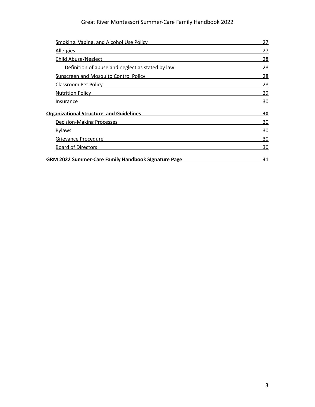## Great River Montessori Summer-Care Family Handbook 2022

| Smoking, Vaping, and Alcohol Use Policy                    | 27        |
|------------------------------------------------------------|-----------|
| <b>Allergies</b>                                           | 27        |
| <b>Child Abuse/Neglect</b>                                 | 28        |
| Definition of abuse and neglect as stated by law           | 28        |
| <b>Sunscreen and Mosquito Control Policy</b>               | 28        |
| Classroom Pet Policy                                       | 28        |
| <b>Nutrition Policy</b>                                    | 29        |
| Insurance                                                  | 30        |
| <b>Organizational Structure and Guidelines</b>             | <u>30</u> |
| <b>Decision-Making Processes</b>                           | 30        |
| <b>Bylaws</b>                                              | 30        |
| Grievance Procedure                                        | 30        |
| <b>Board of Directors</b>                                  | 30        |
| <b>GRM 2022 Summer-Care Family Handbook Signature Page</b> | 31        |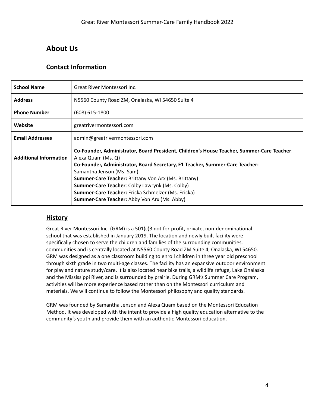# <span id="page-4-1"></span><span id="page-4-0"></span>**About Us**

## **Contact Information**

| <b>School Name</b>            | Great River Montessori Inc.                                                                                                                                                                                                                                                                                                                                                                                                                                 |
|-------------------------------|-------------------------------------------------------------------------------------------------------------------------------------------------------------------------------------------------------------------------------------------------------------------------------------------------------------------------------------------------------------------------------------------------------------------------------------------------------------|
| <b>Address</b>                | N5560 County Road ZM, Onalaska, WI 54650 Suite 4                                                                                                                                                                                                                                                                                                                                                                                                            |
| <b>Phone Number</b>           | $(608)$ 615-1800                                                                                                                                                                                                                                                                                                                                                                                                                                            |
| Website                       | greatrivermontessori.com                                                                                                                                                                                                                                                                                                                                                                                                                                    |
| <b>Email Addresses</b>        | admin@greatrivermontessori.com                                                                                                                                                                                                                                                                                                                                                                                                                              |
| <b>Additional Information</b> | Co-Founder, Administrator, Board President, Children's House Teacher, Summer-Care Teacher:<br>Alexa Quam (Ms. Q)<br>Co-Founder, Administrator, Board Secretary, E1 Teacher, Summer-Care Teacher:<br>Samantha Jenson (Ms. Sam)<br><b>Summer-Care Teacher: Brittany Von Arx (Ms. Brittany)</b><br>Summer-Care Teacher: Colby Lawrynk (Ms. Colby)<br>Summer-Care Teacher: Ericka Schmelzer (Ms. Ericka)<br><b>Summer-Care Teacher:</b> Abby Von Arx (Ms. Abby) |

## **History**

Great River Montessori Inc. (GRM) is a 501(c)3 not-for-profit, private, non-denominational school that was established in January 2019. The location and newly built facility were specifically chosen to serve the children and families of the surrounding communities. communities and is centrally located at N5560 County Road ZM Suite 4, Onalaska, WI 54650. GRM was designed as a one classroom building to enroll children in three year old preschool through sixth grade in two multi-age classes. The facility has an expansive outdoor environment for play and nature study/care. It is also located near bike trails, a wildlife refuge, Lake Onalaska and the Mississippi River, and is surrounded by prairie. During GRM's Summer Care Program, activities will be more experience based rather than on the Montessori curriculum and materials. We will continue to follow the Montessori philosophy and quality standards.

GRM was founded by Samantha Jenson and Alexa Quam based on the Montessori Education Method. It was developed with the intent to provide a high quality education alternative to the community's youth and provide them with an authentic Montessori education.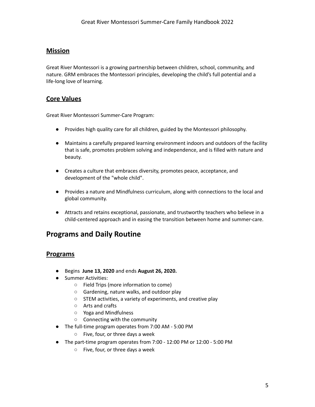## **Mission**

Great River Montessori is a growing partnership between children, school, community, and nature. GRM embraces the Montessori principles, developing the child's full potential and a life-long love of learning.

## <span id="page-5-0"></span>**Core Values**

Great River Montessori Summer-Care Program:

- Provides high quality care for all children, guided by the Montessori philosophy.
- Maintains a carefully prepared learning environment indoors and outdoors of the facility that is safe, promotes problem solving and independence, and is filled with nature and beauty.
- Creates a culture that embraces diversity, promotes peace, acceptance, and development of the "whole child".
- Provides a nature and Mindfulness curriculum, along with connections to the local and global community.
- Attracts and retains exceptional, passionate, and trustworthy teachers who believe in a child-centered approach and in easing the transition between home and summer-care.

# **Programs and Daily Routine**

#### **Programs**

- Begins **June 13, 2020** and ends **August 26, 2020.**
- Summer Activities:
	- Field Trips (more information to come)
	- Gardening, nature walks, and outdoor play
	- STEM activities, a variety of experiments, and creative play
	- Arts and crafts
	- Yoga and Mindfulness
	- Connecting with the community
- The full-time program operates from 7:00 AM 5:00 PM
	- Five, four, or three days a week
- The part-time program operates from 7:00 12:00 PM or 12:00 5:00 PM
	- Five, four, or three days a week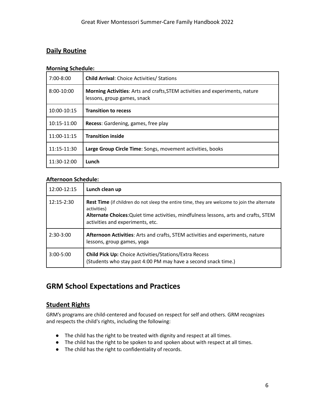## **Daily Routine**

#### **Morning Schedule:**

| $7:00 - 8:00$ | <b>Child Arrival: Choice Activities/ Stations</b>                                                                  |  |
|---------------|--------------------------------------------------------------------------------------------------------------------|--|
| 8:00-10:00    | <b>Morning Activities:</b> Arts and crafts, STEM activities and experiments, nature<br>lessons, group games, snack |  |
| 10:00-10:15   | <b>Transition to recess</b>                                                                                        |  |
| 10:15-11:00   | Recess: Gardening, games, free play                                                                                |  |
| 11:00-11:15   | <b>Transition inside</b>                                                                                           |  |
| 11:15-11:30   | Large Group Circle Time: Songs, movement activities, books                                                         |  |
| 11:30-12:00   | Lunch                                                                                                              |  |

#### **Afternoon Schedule:**

| 12:00-12:15   | Lunch clean up                                                                                                                                                                                                                                |
|---------------|-----------------------------------------------------------------------------------------------------------------------------------------------------------------------------------------------------------------------------------------------|
| $12:15-2:30$  | <b>Rest Time</b> (if children do not sleep the entire time, they are welcome to join the alternate<br>activities)<br>Alternate Choices: Quiet time activities, mindfulness lessons, arts and crafts, STEM<br>activities and experiments, etc. |
| $2:30-3:00$   | Afternoon Activities: Arts and crafts, STEM activities and experiments, nature<br>lessons, group games, yoga                                                                                                                                  |
| $3:00 - 5:00$ | <b>Child Pick Up: Choice Activities/Stations/Extra Recess</b><br>(Students who stay past 4:00 PM may have a second snack time.)                                                                                                               |

# <span id="page-6-0"></span>**GRM School Expectations and Practices**

#### **Student Rights**

GRM's programs are child-centered and focused on respect for self and others. GRM recognizes and respects the child's rights, including the following:

- The child has the right to be treated with dignity and respect at all times.
- The child has the right to be spoken to and spoken about with respect at all times.
- The child has the right to confidentiality of records.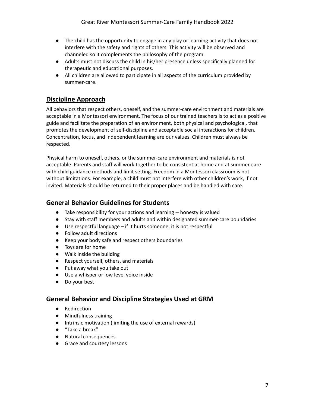- The child has the opportunity to engage in any play or learning activity that does not interfere with the safety and rights of others. This activity will be observed and channeled so it complements the philosophy of the program.
- Adults must not discuss the child in his/her presence unless specifically planned for therapeutic and educational purposes.
- All children are allowed to participate in all aspects of the curriculum provided by summer-care.

## **Discipline Approach**

All behaviors that respect others, oneself, and the summer-care environment and materials are acceptable in a Montessori environment. The focus of our trained teachers is to act as a positive guide and facilitate the preparation of an environment, both physical and psychological, that promotes the development of self-discipline and acceptable social interactions for children. Concentration, focus, and independent learning are our values. Children must always be respected.

Physical harm to oneself, others, or the summer-care environment and materials is not acceptable. Parents and staff will work together to be consistent at home and at summer-care with child guidance methods and limit setting. Freedom in a Montessori classroom is not without limitations. For example, a child must not interfere with other children's work, if not invited. Materials should be returned to their proper places and be handled with care.

## **General Behavior Guidelines for Students**

- Take responsibility for your actions and learning -- honesty is valued
- Stay with staff members and adults and within designated summer-care boundaries
- Use respectful language if it hurts someone, it is not respectful
- Follow adult directions
- Keep your body safe and respect others boundaries
- Toys are for home
- Walk inside the building
- Respect yourself, others, and materials
- Put away what you take out
- Use a whisper or low level voice inside
- Do your best

## <span id="page-7-0"></span>**General Behavior and Discipline Strategies Used at GRM**

- Redirection
- Mindfulness training
- Intrinsic motivation (limiting the use of external rewards)
- "Take a break"
- Natural consequences
- Grace and courtesy lessons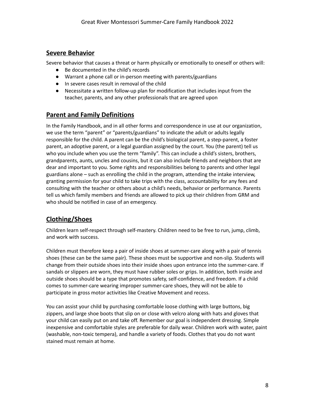#### <span id="page-8-0"></span>**Severe Behavior**

Severe behavior that causes a threat or harm physically or emotionally to oneself or others will:

- Be documented in the child's records
- Warrant a phone call or in-person meeting with parents/guardians
- In severe cases result in removal of the child
- Necessitate a written follow-up plan for modification that includes input from the teacher, parents, and any other professionals that are agreed upon

## <span id="page-8-1"></span>**Parent and Family Definitions**

In the Family Handbook, and in all other forms and correspondence in use at our organization, we use the term "parent" or "parents/guardians" to indicate the adult or adults legally responsible for the child. A parent can be the child's biological parent, a step-parent, a foster parent, an adoptive parent, or a legal guardian assigned by the court. You (the parent) tell us who you include when you use the term "family". This can include a child's sisters, brothers, grandparents, aunts, uncles and cousins, but it can also include friends and neighbors that are dear and important to you. Some rights and responsibilities belong to parents and other legal guardians alone – such as enrolling the child in the program, attending the intake interview, granting permission for your child to take trips with the class, accountability for any fees and consulting with the teacher or others about a child's needs, behavior or performance. Parents tell us which family members and friends are allowed to pick up their children from GRM and who should be notified in case of an emergency.

## <span id="page-8-2"></span>**Clothing/Shoes**

Children learn self-respect through self-mastery. Children need to be free to run, jump, climb, and work with success.

Children must therefore keep a pair of inside shoes at summer-care along with a pair of tennis shoes (these can be the same pair). These shoes must be supportive and non-slip. Students will change from their outside shoes into their inside shoes upon entrance into the summer-care. If sandals or slippers are worn, they must have rubber soles or grips. In addition, both inside and outside shoes should be a type that promotes safety, self-confidence, and freedom. If a child comes to summer-care wearing improper summer-care shoes, they will not be able to participate in gross motor activities like Creative Movement and recess.

You can assist your child by purchasing comfortable loose clothing with large buttons, big zippers, and large shoe boots that slip on or close with velcro along with hats and gloves that your child can easily put on and take off. Remember our goal is independent dressing. Simple inexpensive and comfortable styles are preferable for daily wear. Children work with water, paint (washable, non-toxic tempera), and handle a variety of foods. Clothes that you do not want stained must remain at home.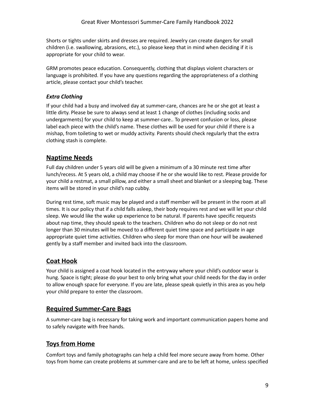Shorts or tights under skirts and dresses are required. Jewelry can create dangers for small children (i.e. swallowing, abrasions, etc.), so please keep that in mind when deciding if it is appropriate for your child to wear.

GRM promotes peace education. Consequently, clothing that displays violent characters or language is prohibited. If you have any questions regarding the appropriateness of a clothing article, please contact your child's teacher.

#### <span id="page-9-0"></span>*Extra Clothing*

If your child had a busy and involved day at summer-care, chances are he or she got at least a little dirty. Please be sure to always send at least 1 change of clothes (including socks and undergarments) for your child to keep at summer-care.. To prevent confusion or loss, please label each piece with the child's name. These clothes will be used for your child if there is a mishap, from toileting to wet or muddy activity. Parents should check regularly that the extra clothing stash is complete.

## <span id="page-9-1"></span>**Naptime Needs**

Full day children under 5 years old will be given a minimum of a 30 minute rest time after lunch/recess. At 5 years old, a child may choose if he or she would like to rest. Please provide for your child a restmat, a small pillow, and either a small sheet and blanket or a sleeping bag. These items will be stored in your child's nap cubby.

During rest time, soft music may be played and a staff member will be present in the room at all times. It is our policy that if a child falls asleep, their body requires rest and we will let your child sleep. We would like the wake up experience to be natural. If parents have specific requests about nap time, they should speak to the teachers. Children who do not sleep or do not rest longer than 30 minutes will be moved to a different quiet time space and participate in age appropriate quiet time activities. Children who sleep for more than one hour will be awakened gently by a staff member and invited back into the classroom.

## <span id="page-9-2"></span>**Coat Hook**

Your child is assigned a coat hook located in the entryway where your child's outdoor wear is hung. Space is tight; please do your best to only bring what your child needs for the day in order to allow enough space for everyone. If you are late, please speak quietly in this area as you help your child prepare to enter the classroom.

#### <span id="page-9-3"></span>**Required Summer-Care Bags**

A summer-care bag is necessary for taking work and important communication papers home and to safely navigate with free hands.

#### <span id="page-9-4"></span>**Toys from Home**

Comfort toys and family photographs can help a child feel more secure away from home. Other toys from home can create problems at summer-care and are to be left at home, unless specified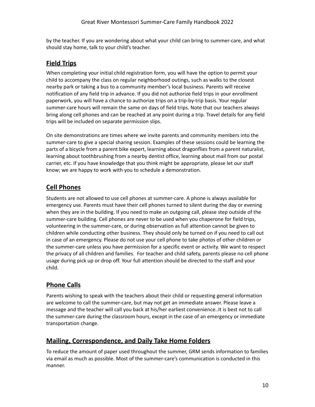by the teacher. If you are wondering about what your child can bring to summer-care, and what should stay home, talk to your child's teacher.

## <span id="page-10-0"></span>**Field Trips**

When completing your initial child registration form, you will have the option to permit your child to accompany the class on regular neighborhood outings, such as walks to the closest nearby park or taking a bus to a community member's local business. Parents will receive notification of any field trip in advance. If you did not authorize field trips in your enrollment paperwork, you will have a chance to authorize trips on a trip-by-trip basis. Your regular summer-care hours will remain the same on days of field trips. Note that our teachers always bring along cell phones and can be reached at any point during a trip. Travel details for any field trips will be included on separate permission slips.

On site demonstrations are times where we invite parents and community members into the summer-care to give a special sharing session. Examples of these sessions could be learning the parts of a bicycle from a parent bike expert, learning about dragonflies from a parent naturalist, learning about toothbrushing from a nearby dentist office, learning about mail from our postal carrier, etc. If you have knowledge that you think might be appropriate, please let our staff know; we are happy to work with you to schedule a demonstration.

# <span id="page-10-1"></span>**Cell Phones**

Students are not allowed to use cell phones at summer-care. A phone is always available for emergency use. Parents must have their cell phones turned to silent during the day or evening when they are in the building. If you need to make an outgoing call, please step outside of the summer-care building. Cell phones are never to be used when you chaperone for field trips, volunteering in the summer-care, or during observation as full attention cannot be given to children while conducting other business. They should only be turned on if you need to call out in case of an emergency. Please do not use your cell phone to take photos of other children or the summer-care unless you have permission for a specific event or activity. We want to respect the privacy of all children and families. For teacher and child safety, parents please no cell phone usage during pick up or drop off. Your full attention should be directed to the staff and your child.

## <span id="page-10-2"></span>**Phone Calls**

Parents wishing to speak with the teachers about their child or requesting general information are welcome to call the summer-care, but may not get an immediate answer. Please leave a message and the teacher will call you back at his/her earliest convenience..It is best not to call the summer-care during the classroom hours, except in the case of an emergency or immediate transportation change.

## <span id="page-10-3"></span>**Mailing, Correspondence, and Daily Take Home Folders**

To reduce the amount of paper used throughout the summer, GRM sends information to families via email as much as possible. Most of the summer-care's communication is conducted in this manner.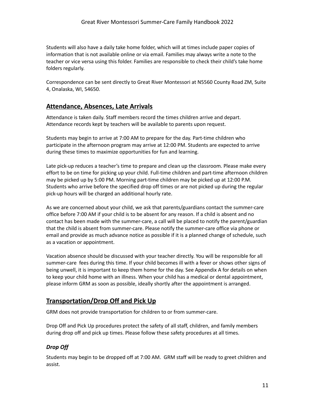Students will also have a daily take home folder, which will at times include paper copies of information that is not available online or via email. Families may always write a note to the teacher or vice versa using this folder. Families are responsible to check their child's take home folders regularly.

Correspondence can be sent directly to Great River Montessori at N5560 County Road ZM, Suite 4, Onalaska, WI, 54650.

#### <span id="page-11-0"></span>**Attendance, Absences, Late Arrivals**

Attendance is taken daily. Staff members record the times children arrive and depart. Attendance records kept by teachers will be available to parents upon request.

Students may begin to arrive at 7:00 AM to prepare for the day. Part-time children who participate in the afternoon program may arrive at 12:00 PM. Students are expected to arrive during these times to maximize opportunities for fun and learning.

Late pick-up reduces a teacher's time to prepare and clean up the classroom. Please make every effort to be on time for picking up your child. Full-time children and part-time afternoon children may be picked up by 5:00 PM. Morning part-time children may be picked up at 12:00 P.M. Students who arrive before the specified drop off times or are not picked up during the regular pick-up hours will be charged an additional hourly rate.

As we are concerned about your child, we ask that parents/guardians contact the summer-care office before 7:00 AM if your child is to be absent for any reason. If a child is absent and no contact has been made with the summer-care, a call will be placed to notify the parent/guardian that the child is absent from summer-care. Please notify the summer-care office via phone or email and provide as much advance notice as possible if it is a planned change of schedule, such as a vacation or appointment.

Vacation absence should be discussed with your teacher directly. You will be responsible for all summer-care fees during this time. If your child becomes ill with a fever or shows other signs of being unwell, it is important to keep them home for the day. See Appendix A for details on when to keep your child home with an illness. When your child has a medical or dental appointment, please inform GRM as soon as possible, ideally shortly after the appointment is arranged.

## <span id="page-11-1"></span>**Transportation/Drop Off and Pick Up**

GRM does not provide transportation for children to or from summer-care.

Drop Off and Pick Up procedures protect the safety of all staff, children, and family members during drop off and pick up times. Please follow these safety procedures at all times.

#### <span id="page-11-2"></span>*Drop Off*

Students may begin to be dropped off at 7:00 AM. GRM staff will be ready to greet children and assist.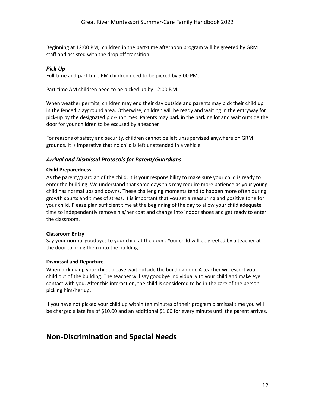Beginning at 12:00 PM, children in the part-time afternoon program will be greeted by GRM staff and assisted with the drop off transition.

#### *Pick Up*

Full-time and part-time PM children need to be picked by 5:00 PM.

Part-time AM children need to be picked up by 12:00 P.M.

When weather permits, children may end their day outside and parents may pick their child up in the fenced playground area. Otherwise, children will be ready and waiting in the entryway for pick-up by the designated pick-up times. Parents may park in the parking lot and wait outside the door for your children to be excused by a teacher.

For reasons of safety and security, children cannot be left unsupervised anywhere on GRM grounds. It is imperative that no child is left unattended in a vehicle.

#### <span id="page-12-0"></span>*Arrival and Dismissal Protocols for Parent/Guardians*

#### **Child Preparedness**

As the parent/guardian of the child, it is your responsibility to make sure your child is ready to enter the building. We understand that some days this may require more patience as your young child has normal ups and downs. These challenging moments tend to happen more often during growth spurts and times of stress. It is important that you set a reassuring and positive tone for your child. Please plan sufficient time at the beginning of the day to allow your child adequate time to independently remove his/her coat and change into indoor shoes and get ready to enter the classroom.

#### **Classroom Entry**

Say your normal goodbyes to your child at the door . Your child will be greeted by a teacher at the door to bring them into the building.

#### **Dismissal and Departure**

When picking up your child, please wait outside the building door. A teacher will escort your child out of the building. The teacher will say goodbye individually to your child and make eye contact with you. After this interaction, the child is considered to be in the care of the person picking him/her up.

If you have not picked your child up within ten minutes of their program dismissal time you will be charged a late fee of \$10.00 and an additional \$1.00 for every minute until the parent arrives.

# **Non-Discrimination and Special Needs**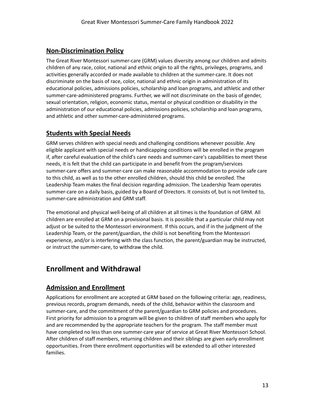#### <span id="page-13-0"></span>**Non-Discrimination Policy**

The Great River Montessori summer-care (GRM) values diversity among our children and admits children of any race, color, national and ethnic origin to all the rights, privileges, programs, and activities generally accorded or made available to children at the summer-care. It does not discriminate on the basis of race, color, national and ethnic origin in administration of its educational policies, admissions policies, scholarship and loan programs, and athletic and other summer-care-administered programs. Further, we will not discriminate on the basis of gender, sexual orientation, religion, economic status, mental or physical condition or disability in the administration of our educational policies, admissions policies, scholarship and loan programs, and athletic and other summer-care-administered programs.

## <span id="page-13-1"></span>**Students with Special Needs**

GRM serves children with special needs and challenging conditions whenever possible. Any eligible applicant with special needs or handicapping conditions will be enrolled in the program if, after careful evaluation of the child's care needs and summer-care's capabilities to meet these needs, it is felt that the child can participate in and benefit from the program/services summer-care offers and summer-care can make reasonable accommodation to provide safe care to this child, as well as to the other enrolled children, should this child be enrolled. The Leadership Team makes the final decision regarding admission. The Leadership Team operates summer-care on a daily basis, guided by a Board of Directors. It consists of, but is not limited to, summer-care administration and GRM staff.

The emotional and physical well-being of all children at all times is the foundation of GRM. All children are enrolled at GRM on a provisional basis. It is possible that a particular child may not adjust or be suited to the Montessori environment. If this occurs, and if in the judgment of the Leadership Team, or the parent/guardian, the child is not benefiting from the Montessori experience, and/or is interfering with the class function, the parent/guardian may be instructed, or instruct the summer-care, to withdraw the child.

# <span id="page-13-3"></span><span id="page-13-2"></span>**Enrollment and Withdrawal**

## **Admission and Enrollment**

Applications for enrollment are accepted at GRM based on the following criteria: age, readiness, previous records, program demands, needs of the child, behavior within the classroom and summer-care, and the commitment of the parent/guardian to GRM policies and procedures. First priority for admission to a program will be given to children of staff members who apply for and are recommended by the appropriate teachers for the program. The staff member must have completed no less than one summer-care year of service at Great River Montessori School. After children of staff members, returning children and their siblings are given early enrollment opportunities. From there enrollment opportunities will be extended to all other interested families.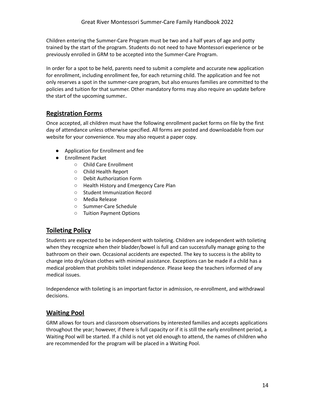Children entering the Summer-Care Program must be two and a half years of age and potty trained by the start of the program. Students do not need to have Montessori experience or be previously enrolled in GRM to be accepted into the Summer-Care Program.

In order for a spot to be held, parents need to submit a complete and accurate new application for enrollment, including enrollment fee, for each returning child. The application and fee not only reserves a spot in the summer-care program, but also ensures families are committed to the policies and tuition for that summer. Other mandatory forms may also require an update before the start of the upcoming summer..

## <span id="page-14-0"></span>**Registration Forms**

Once accepted, all children must have the following enrollment packet forms on file by the first day of attendance unless otherwise specified. All forms are posted and downloadable from our website for your convenience. You may also request a paper copy.

- Application for Enrollment and fee
- Enrollment Packet
	- Child Care Enrollment
	- Child Health Report
	- Debit Authorization Form
	- Health History and Emergency Care Plan
	- Student Immunization Record
	- Media Release
	- Summer-Care Schedule
	- Tuition Payment Options

## <span id="page-14-1"></span>**Toileting Policy**

Students are expected to be independent with toileting. Children are independent with toileting when they recognize when their bladder/bowel is full and can successfully manage going to the bathroom on their own. Occasional accidents are expected. The key to success is the ability to change into dry/clean clothes with minimal assistance. Exceptions can be made if a child has a medical problem that prohibits toilet independence. Please keep the teachers informed of any medical issues.

Independence with toileting is an important factor in admission, re-enrollment, and withdrawal decisions.

## <span id="page-14-2"></span>**Waiting Pool**

GRM allows for tours and classroom observations by interested families and accepts applications throughout the year; however, if there is full capacity or if it is still the early enrollment period, a Waiting Pool will be started. If a child is not yet old enough to attend, the names of children who are recommended for the program will be placed in a Waiting Pool.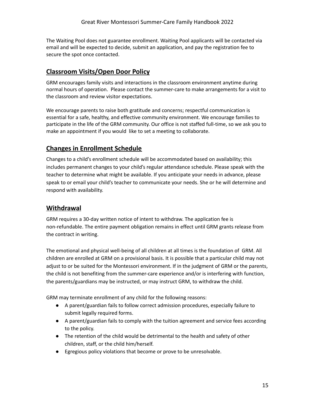The Waiting Pool does not guarantee enrollment. Waiting Pool applicants will be contacted via email and will be expected to decide, submit an application, and pay the registration fee to secure the spot once contacted.

## <span id="page-15-0"></span>**Classroom Visits/Open Door Policy**

GRM encourages family visits and interactions in the classroom environment anytime during normal hours of operation. Please contact the summer-care to make arrangements for a visit to the classroom and review visitor expectations.

We encourage parents to raise both gratitude and concerns; respectful communication is essential for a safe, healthy, and effective community environment. We encourage families to participate in the life of the GRM community. Our office is not staffed full-time, so we ask you to make an appointment if you would like to set a meeting to collaborate.

## <span id="page-15-1"></span>**Changes in Enrollment Schedule**

Changes to a child's enrollment schedule will be accommodated based on availability; this includes permanent changes to your child's regular attendance schedule. Please speak with the teacher to determine what might be available. If you anticipate your needs in advance, please speak to or email your child's teacher to communicate your needs. She or he will determine and respond with availability.

#### <span id="page-15-2"></span>**Withdrawal**

GRM requires a 30-day written notice of intent to withdraw. The application fee is non-refundable. The entire payment obligation remains in effect until GRM grants release from the contract in writing.

The emotional and physical well-being of all children at all times is the foundation of GRM. All children are enrolled at GRM on a provisional basis. It is possible that a particular child may not adjust to or be suited for the Montessori environment. If in the judgment of GRM or the parents, the child is not benefiting from the summer-care experience and/or is interfering with function, the parents/guardians may be instructed, or may instruct GRM, to withdraw the child.

GRM may terminate enrollment of any child for the following reasons:

- A parent/guardian fails to follow correct admission procedures, especially failure to submit legally required forms.
- A parent/guardian fails to comply with the tuition agreement and service fees according to the policy.
- The retention of the child would be detrimental to the health and safety of other children, staff, or the child him/herself.
- Egregious policy violations that become or prove to be unresolvable.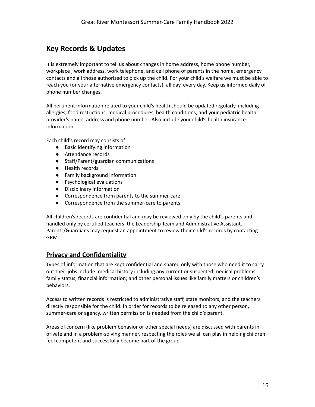# <span id="page-16-0"></span>**Key Records & Updates**

It is extremely important to tell us about changes in home address, home phone number, workplace , work address, work telephone, and cell phone of parents in the home, emergency contacts and all those authorized to pick up the child. For your child's welfare we must be able to reach you (or your alternative emergency contacts), all day, every day. Keep us informed daily of phone number changes.

All pertinent information related to your child's health should be updated regularly, including allergies, food restrictions, medical procedures, health conditions, and your pediatric health provider's name, address and phone number. Also include your child's health insurance information.

Each child's record may consists of:

- Basic identifying information
- Attendance records
- Staff/Parent/guardian communications
- Health records
- Family background information
- Psychological evaluations
- Disciplinary information
- Correspondence from parents to the summer-care
- Correspondence from the summer-care to parents

All children's records are confidential and may be reviewed only by the child's parents and handled only by certified teachers, the Leadership Team and Administrative Assistant. Parents/Guardians may request an appointment to review their child's records by contacting GRM.

#### <span id="page-16-1"></span>**Privacy and Confidentiality**

Types of information that are kept confidential and shared only with those who need it to carry out their jobs include: medical history including any current or suspected medical problems; family status; financial information; and other personal issues like family matters or children's behaviors.

Access to written records is restricted to administrative staff, state monitors, and the teachers directly responsible for the child. In order for records to be released to any other person, summer-care or agency, written permission is needed from the child's parent.

Areas of concern (like problem behavior or other special needs) are discussed with parents in private and in a problem-solving manner, respecting the roles we all can play in helping children feel competent and successfully become part of the group.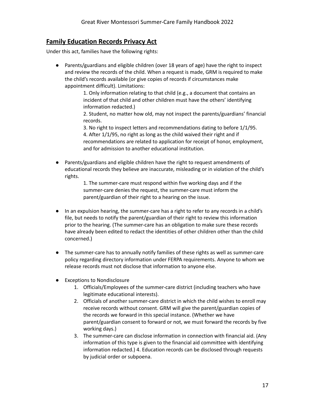## <span id="page-17-0"></span>**Family Education Records Privacy Act**

Under this act, families have the following rights:

● Parents/guardians and eligible children (over 18 years of age) have the right to inspect and review the records of the child. When a request is made, GRM is required to make the child's records available (or give copies of records if circumstances make appointment difficult). Limitations:

> 1. Only information relating to that child (e.g., a document that contains an incident of that child and other children must have the others' identifying information redacted.)

2. Student, no matter how old, may not inspect the parents/guardians' financial records.

3. No right to inspect letters and recommendations dating to before 1/1/95. 4. After 1/1/95, no right as long as the child waived their right and if recommendations are related to application for receipt of honor, employment, and for admission to another educational institution.

Parents/guardians and eligible children have the right to request amendments of educational records they believe are inaccurate, misleading or in violation of the child's rights.

> 1. The summer-care must respond within five working days and if the summer-care denies the request, the summer-care must inform the parent/guardian of their right to a hearing on the issue.

- In an expulsion hearing, the summer-care has a right to refer to any records in a child's file, but needs to notify the parent/guardian of their right to review this information prior to the hearing. (The summer-care has an obligation to make sure these records have already been edited to redact the identities of other children other than the child concerned.)
- The summer-care has to annually notify families of these rights as well as summer-care policy regarding directory information under FERPA requirements. Anyone to whom we release records must not disclose that information to anyone else.
- Exceptions to Nondisclosure
	- 1. Officials/Employees of the summer-care district (including teachers who have legitimate educational interests).
	- 2. Officials of another summer-care district in which the child wishes to enroll may receive records without consent. GRM will give the parent/guardian copies of the records we forward in this special instance. (Whether we have parent/guardian consent to forward or not, we must forward the records by five working days.)
	- 3. The summer-care can disclose information in connection with financial aid. (Any information of this type is given to the financial aid committee with identifying information redacted.) 4. Education records can be disclosed through requests by judicial order or subpoena.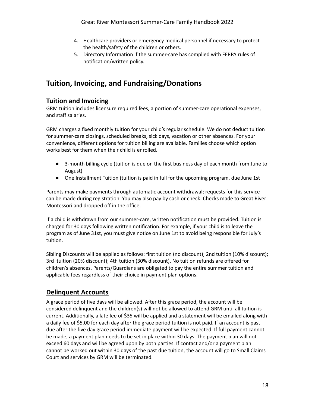- 4. Healthcare providers or emergency medical personnel if necessary to protect the health/safety of the children or others.
- 5. Directory Information if the summer-care has complied with FERPA rules of notification/written policy.

# <span id="page-18-0"></span>**Tuition, Invoicing, and Fundraising/Donations**

#### **Tuition and Invoicing**

GRM tuition includes licensure required fees, a portion of summer-care operational expenses, and staff salaries.

GRM charges a fixed monthly tuition for your child's regular schedule. We do not deduct tuition for summer-care closings, scheduled breaks, sick days, vacation or other absences. For your convenience, different options for tuition billing are available. Families choose which option works best for them when their child is enrolled.

- 3-month billing cycle (tuition is due on the first business day of each month from June to August)
- One Installment Tuition (tuition is paid in full for the upcoming program, due June 1st

Parents may make payments through automatic account withdrawal; requests for this service can be made during registration. You may also pay by cash or check. Checks made to Great River Montessori and dropped off in the office.

If a child is withdrawn from our summer-care, written notification must be provided. Tuition is charged for 30 days following written notification. For example, if your child is to leave the program as of June 31st, you must give notice on June 1st to avoid being responsible for July's tuition.

Sibling Discounts will be applied as follows: first tuition (no discount); 2nd tuition (10% discount); 3rd tuition (20% discount); 4th tuition (30% discount). No tuition refunds are offered for children's absences. Parents/Guardians are obligated to pay the entire summer tuition and applicable fees regardless of their choice in payment plan options.

## <span id="page-18-1"></span>**Delinquent Accounts**

A grace period of five days will be allowed. After this grace period, the account will be considered delinquent and the children(s) will not be allowed to attend GRM until all tuition is current. Additionally, a late fee of \$35 will be applied and a statement will be emailed along with a daily fee of \$5.00 for each day after the grace period tuition is not paid. If an account is past due after the five day grace period immediate payment will be expected. If full payment cannot be made, a payment plan needs to be set in place within 30 days. The payment plan will not exceed 60 days and will be agreed upon by both parties. If contact and/or a payment plan cannot be worked out within 30 days of the past due tuition, the account will go to Small Claims Court and services by GRM will be terminated.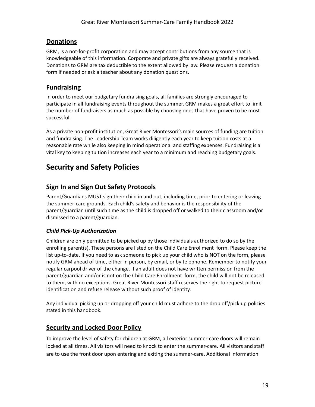## <span id="page-19-0"></span>**Donations**

GRM, is a not-for-profit corporation and may accept contributions from any source that is knowledgeable of this information. Corporate and private gifts are always gratefully received. Donations to GRM are tax deductible to the extent allowed by law. Please request a donation form if needed or ask a teacher about any donation questions.

## <span id="page-19-1"></span>**Fundraising**

In order to meet our budgetary fundraising goals, all families are strongly encouraged to participate in all fundraising events throughout the summer. GRM makes a great effort to limit the number of fundraisers as much as possible by choosing ones that have proven to be most successful.

As a private non-profit institution, Great River Montessori's main sources of funding are tuition and fundraising. The Leadership Team works diligently each year to keep tuition costs at a reasonable rate while also keeping in mind operational and staffing expenses. Fundraising is a vital key to keeping tuition increases each year to a minimum and reaching budgetary goals.

# <span id="page-19-2"></span>**Security and Safety Policies**

## <span id="page-19-3"></span>**Sign In and Sign Out Safety Protocols**

Parent/Guardians MUST sign their child in and out, including time, prior to entering or leaving the summer-care grounds. Each child's safety and behavior is the responsibility of the parent/guardian until such time as the child is dropped off or walked to their classroom and/or dismissed to a parent/guardian.

#### <span id="page-19-4"></span>*Child Pick-Up Authorization*

Children are only permitted to be picked up by those individuals authorized to do so by the enrolling parent(s). These persons are listed on the Child Care Enrollment form. Please keep the list up-to-date. If you need to ask someone to pick up your child who is NOT on the form, please notify GRM ahead of time, either in person, by email, or by telephone. Remember to notify your regular carpool driver of the change. If an adult does not have written permission from the parent/guardian and/or is not on the Child Care Enrollment form, the child will not be released to them, with no exceptions. Great River Montessori staff reserves the right to request picture identification and refuse release without such proof of identity.

Any individual picking up or dropping off your child must adhere to the drop off/pick up policies stated in this handbook.

## <span id="page-19-5"></span>**Security and Locked Door Policy**

To improve the level of safety for children at GRM, all exterior summer-care doors will remain locked at all times. All visitors will need to knock to enter the summer-care. All visitors and staff are to use the front door upon entering and exiting the summer-care. Additional information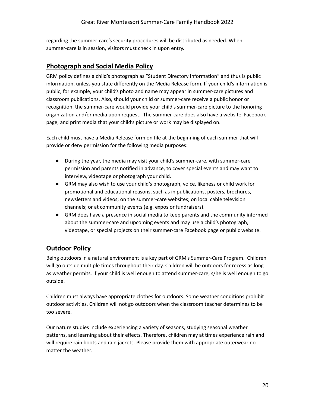regarding the summer-care's security procedures will be distributed as needed. When summer-care is in session, visitors must check in upon entry.

#### <span id="page-20-0"></span>**Photograph and Social Media Policy**

GRM policy defines a child's photograph as "Student Directory Information" and thus is public information, unless you state differently on the Media Release form. If your child's information is public, for example, your child's photo and name may appear in summer-care pictures and classroom publications. Also, should your child or summer-care receive a public honor or recognition, the summer-care would provide your child's summer-care picture to the honoring organization and/or media upon request. The summer-care does also have a website, Facebook page, and print media that your child's picture or work may be displayed on.

Each child must have a Media Release form on file at the beginning of each summer that will provide or deny permission for the following media purposes:

- During the year, the media may visit your child's summer-care, with summer-care permission and parents notified in advance, to cover special events and may want to interview, videotape or photograph your child.
- GRM may also wish to use your child's photograph, voice, likeness or child work for promotional and educational reasons, such as in publications, posters, brochures, newsletters and videos; on the summer-care websites; on local cable television channels; or at community events (e.g. expos or fundraisers).
- GRM does have a presence in social media to keep parents and the community informed about the summer-care and upcoming events and may use a child's photograph, videotape, or special projects on their summer-care Facebook page or public website.

## <span id="page-20-1"></span>**Outdoor Policy**

Being outdoors in a natural environment is a key part of GRM's Summer-Care Program. Children will go outside multiple times throughout their day. Children will be outdoors for recess as long as weather permits. If your child is well enough to attend summer-care, s/he is well enough to go outside.

Children must always have appropriate clothes for outdoors. Some weather conditions prohibit outdoor activities. Children will not go outdoors when the classroom teacher determines to be too severe.

Our nature studies include experiencing a variety of seasons, studying seasonal weather patterns, and learning about their effects. Therefore, children may at times experience rain and will require rain boots and rain jackets. Please provide them with appropriate outerwear no matter the weather.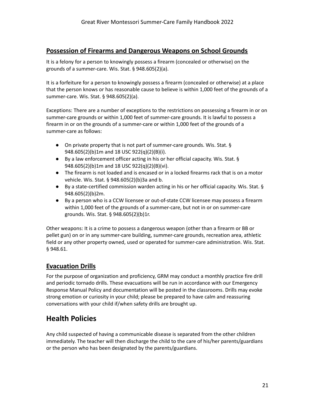#### <span id="page-21-0"></span>**Possession of Firearms and Dangerous Weapons on School Grounds**

It is a felony for a person to knowingly possess a firearm (concealed or otherwise) on the grounds of a summer-care. Wis. Stat. § 948.605(2)(a).

It is a forfeiture for a person to knowingly possess a firearm (concealed or otherwise) at a place that the person knows or has reasonable cause to believe is within 1,000 feet of the grounds of a summer-care. Wis. Stat. § 948.605(2)(a).

Exceptions: There are a number of exceptions to the restrictions on possessing a firearm in or on summer-care grounds or within 1,000 feet of summer-care grounds. It is lawful to possess a firearm in or on the grounds of a summer-care or within 1,000 feet of the grounds of a summer-care as follows:

- On private property that is not part of summer-care grounds. Wis. Stat. § 948.605(2)(b)1m and 18 USC 922(q)(2)(B)(i).
- By a law enforcement officer acting in his or her official capacity. Wis. Stat. § 948.605(2)(b)1m and 18 USC 922(q)(2)(B)(vi).
- The firearm is not loaded and is encased or in a locked firearms rack that is on a motor vehicle. Wis. Stat. § 948.605(2)(b)3a and b.
- By a state-certified commission warden acting in his or her official capacity. Wis. Stat. § 948.605(2)(b)2m.
- By a person who is a CCW licensee or out-of-state CCW licensee may possess a firearm within 1,000 feet of the grounds of a summer-care, but not in or on summer-care grounds. Wis. Stat. § 948.605(2)(b)1r.

Other weapons: It is a crime to possess a dangerous weapon (other than a firearm or BB or pellet gun) on or in any summer-care building, summer-care grounds, recreation area, athletic field or any other property owned, used or operated for summer-care administration. Wis. Stat. § 948.61.

## <span id="page-21-1"></span>**Evacuation Drills**

For the purpose of organization and proficiency, GRM may conduct a monthly practice fire drill and periodic tornado drills. These evacuations will be run in accordance with our Emergency Response Manual Policy and documentation will be posted in the classrooms. Drills may evoke strong emotion or curiosity in your child; please be prepared to have calm and reassuring conversations with your child if/when safety drills are brought up.

# **Health Policies**

Any child suspected of having a communicable disease is separated from the other children immediately. The teacher will then discharge the child to the care of his/her parents/guardians or the person who has been designated by the parents/guardians.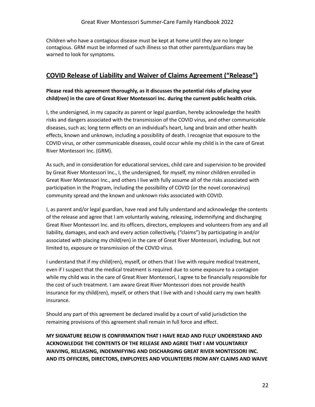Children who have a contagious disease must be kept at home until they are no longer contagious. GRM must be informed of such illness so that other parents/guardians may be warned to look for symptoms.

#### **COVID Release of Liability and Waiver of Claims Agreement ("Release")**

#### **Please read this agreement thoroughly, as it discusses the potential risks of placing your child(ren) in the care of Great River Montessori Inc. during the current public health crisis.**

I, the undersigned, in my capacity as parent or legal guardian, hereby acknowledge the health risks and dangers associated with the transmission of the COVID virus, and other communicable diseases, such as; long term effects on an individual's heart, lung and brain and other health effects, known and unknown, including a possibility of death. I recognize that exposure to the COVID virus, or other communicable diseases, could occur while my child is in the care of Great River Montessori Inc. (GRM).

As such, and in consideration for educational services, child care and supervision to be provided by Great River Montessori Inc., I, the undersigned, for myself, my minor children enrolled in Great River Montessori Inc., and others I live with fully assume all of the risks associated with participation in the Program, including the possibility of COVID (or the novel coronavirus) community spread and the known and unknown risks associated with COVID.

I, as parent and/or legal guardian, have read and fully understand and acknowledge the contents of the release and agree that I am voluntarily waiving, releasing, indemnifying and discharging Great River Montessori Inc. and its officers, directors, employees and volunteers from any and all liability, damages, and each and every action collectively, ("claims") by participating in and/or associated with placing my child(ren) in the care of Great River Montessori, including, but not limited to, exposure or transmission of the COVID virus.

I understand that if my child(ren), myself, or others that I live with require medical treatment, even if I suspect that the medical treatment is required due to some exposure to a contagion while my child was in the care of Great River Montessori, I agree to be financially responsible for the cost of such treatment. I am aware Great River Montessori does not provide health insurance for my child(ren), myself, or others that I live with and I should carry my own health insurance.

Should any part of this agreement be declared invalid by a court of valid jurisdiction the remaining provisions of this agreement shall remain in full force and effect.

**MY SIGNATURE BELOW IS CONFIRMATION THAT I HAVE READ AND FULLY UNDERSTAND AND ACKNOWLEDGE THE CONTENTS OF THE RELEASE AND AGREE THAT I AM VOLUNTARILY WAIVING, RELEASING, INDEMNIFYING AND DISCHARGING GREAT RIVER MONTESSORI INC. AND ITS OFFICERS, DIRECTORS, EMPLOYEES AND VOLUNTEERS FROM ANY CLAIMS AND WAIVE**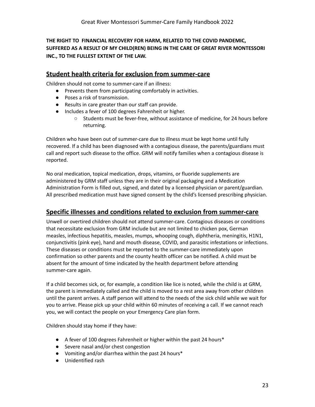**THE RIGHT TO FINANCIAL RECOVERY FOR HARM, RELATED TO THE COVID PANDEMIC, SUFFERED AS A RESULT OF MY CHILD(REN) BEING IN THE CARE OF GREAT RIVER MONTESSORI INC., TO THE FULLEST EXTENT OF THE LAW.**

#### <span id="page-23-0"></span>**Student health criteria for exclusion from summer-care**

Children should not come to summer-care if an illness:

- Prevents them from participating comfortably in activities.
- Poses a risk of transmission.
- Results in care greater than our staff can provide.
- Includes a fever of 100 degrees Fahrenheit or higher.
	- Students must be fever-free, without assistance of medicine, for 24 hours before returning.

Children who have been out of summer-care due to illness must be kept home until fully recovered. If a child has been diagnosed with a contagious disease, the parents/guardians must call and report such disease to the office. GRM will notify families when a contagious disease is reported.

No oral medication, topical medication, drops, vitamins, or fluoride supplements are administered by GRM staff unless they are in their original packaging and a Medication Administration Form is filled out, signed, and dated by a licensed physician or parent/guardian. All prescribed medication must have signed consent by the child's licensed prescribing physician.

#### <span id="page-23-1"></span>**Specific illnesses and conditions related to exclusion from summer-care**

Unwell or overtired children should not attend summer-care. Contagious diseases or conditions that necessitate exclusion from GRM include but are not limited to chicken pox, German measles, infectious hepatitis, measles, mumps, whooping cough, diphtheria, meningitis, H1N1, conjunctivitis (pink eye), hand and mouth disease, COVID, and parasitic infestations or infections. These diseases or conditions must be reported to the summer-care immediately upon confirmation so other parents and the county health officer can be notified. A child must be absent for the amount of time indicated by the health department before attending summer-care again.

If a child becomes sick, or, for example, a condition like lice is noted, while the child is at GRM, the parent is immediately called and the child is moved to a rest area away from other children until the parent arrives. A staff person will attend to the needs of the sick child while we wait for you to arrive. Please pick up your child within 60 minutes of receiving a call. If we cannot reach you, we will contact the people on your Emergency Care plan form.

Children should stay home if they have:

- A fever of 100 degrees Fahrenheit or higher within the past 24 hours\*
- Severe nasal and/or chest congestion
- Vomiting and/or diarrhea within the past 24 hours\*
- Unidentified rash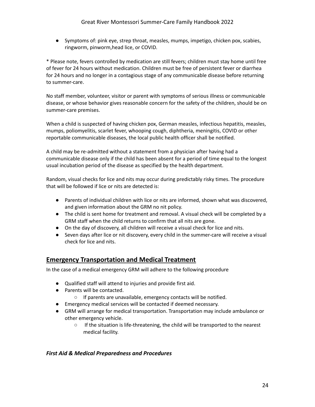● Symptoms of: pink eye, strep throat, measles, mumps, impetigo, chicken pox, scabies, ringworm, pinworm,head lice, or COVID.

\* Please note, fevers controlled by medication are still fevers; children must stay home until free of fever for 24 hours without medication. Children must be free of persistent fever or diarrhea for 24 hours and no longer in a contagious stage of any communicable disease before returning to summer-care.

No staff member, volunteer, visitor or parent with symptoms of serious illness or communicable disease, or whose behavior gives reasonable concern for the safety of the children, should be on summer-care premises.

When a child is suspected of having chicken pox, German measles, infectious hepatitis, measles, mumps, poliomyelitis, scarlet fever, whooping cough, diphtheria, meningitis, COVID or other reportable communicable diseases, the local public health officer shall be notified.

A child may be re-admitted without a statement from a physician after having had a communicable disease only if the child has been absent for a period of time equal to the longest usual incubation period of the disease as specified by the health department.

Random, visual checks for lice and nits may occur during predictably risky times. The procedure that will be followed if lice or nits are detected is:

- Parents of individual children with lice or nits are informed, shown what was discovered, and given information about the GRM no nit policy.
- The child is sent home for treatment and removal. A visual check will be completed by a GRM staff when the child returns to confirm that all nits are gone.
- On the day of discovery, all children will receive a visual check for lice and nits.
- Seven days after lice or nit discovery, every child in the summer-care will receive a visual check for lice and nits.

## <span id="page-24-0"></span>**Emergency Transportation and Medical Treatment**

In the case of a medical emergency GRM will adhere to the following procedure

- Qualified staff will attend to injuries and provide first aid.
- Parents will be contacted.
	- If parents are unavailable, emergency contacts will be notified.
- Emergency medical services will be contacted if deemed necessary.
- GRM will arrange for medical transportation. Transportation may include ambulance or other emergency vehicle.
	- If the situation is life-threatening, the child will be transported to the nearest medical facility.

#### <span id="page-24-1"></span>*First Aid & Medical Preparedness and Procedures*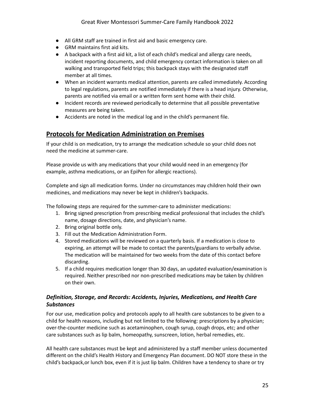- All GRM staff are trained in first aid and basic emergency care.
- GRM maintains first aid kits.
- A backpack with a first aid kit, a list of each child's medical and allergy care needs, incident reporting documents, and child emergency contact information is taken on all walking and transported field trips; this backpack stays with the designated staff member at all times.
- When an incident warrants medical attention, parents are called immediately. According to legal regulations, parents are notified immediately if there is a head injury. Otherwise, parents are notified via email or a written form sent home with their child.
- Incident records are reviewed periodically to determine that all possible preventative measures are being taken.
- Accidents are noted in the medical log and in the child's permanent file.

#### <span id="page-25-0"></span>**Protocols for Medication Administration on Premises**

If your child is on medication, try to arrange the medication schedule so your child does not need the medicine at summer-care.

Please provide us with any medications that your child would need in an emergency (for example, asthma medications, or an EpiPen for allergic reactions).

Complete and sign all medication forms. Under no circumstances may children hold their own medicines, and medications may never be kept in children's backpacks.

The following steps are required for the summer-care to administer medications:

- 1. Bring signed prescription from prescribing medical professional that includes the child's name, dosage directions, date, and physician's name.
- 2. Bring original bottle only.
- 3. Fill out the Medication Administration Form.
- 4. Stored medications will be reviewed on a quarterly basis. If a medication is close to expiring, an attempt will be made to contact the parents/guardians to verbally advise. The medication will be maintained for two weeks from the date of this contact before discarding.
- 5. If a child requires medication longer than 30 days, an updated evaluation/examination is required. Neither prescribed nor non-prescribed medications may be taken by children on their own.

#### <span id="page-25-1"></span>*Definition, Storage, and Records: Accidents, Injuries, Medications, and Health Care Substances*

For our use, medication policy and protocols apply to all health care substances to be given to a child for health reasons, including but not limited to the following: prescriptions by a physician; over-the-counter medicine such as acetaminophen, cough syrup, cough drops, etc; and other care substances such as lip balm, homeopathy, sunscreen, lotion, herbal remedies, etc.

All health care substances must be kept and administered by a staff member unless documented different on the child's Health History and Emergency Plan document. DO NOT store these in the child's backpack,or lunch box, even if it is just lip balm. Children have a tendency to share or try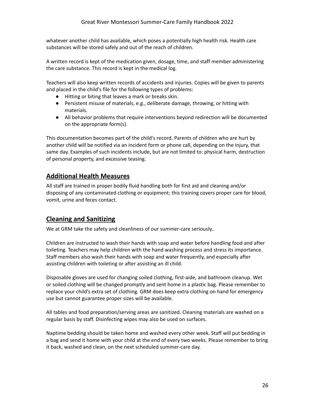whatever another child has available, which poses a potentially high health risk. Health care substances will be stored safely and out of the reach of children.

A written record is kept of the medication given, dosage, time, and staff member administering the care substance. This record is kept in the medical log.

Teachers will also keep written records of accidents and injuries. Copies will be given to parents and placed in the child's file for the following types of problems:

- Hitting or biting that leaves a mark or breaks skin.
- Persistent misuse of materials, e.g., deliberate damage, throwing, or hitting with materials.
- All behavior problems that require interventions beyond redirection will be documented on the appropriate form(s).

This documentation becomes part of the child's record. Parents of children who are hurt by another child will be notified via an incident form or phone call, depending on the injury, that same day. Examples of such incidents include, but are not limited to: physical harm, destruction of personal property, and excessive teasing.

#### <span id="page-26-0"></span>**Additional Health Measures**

All staff are trained in proper bodily fluid handling both for first aid and cleaning and/or disposing of any contaminated clothing or equipment; this training covers proper care for blood, vomit, urine and feces contact.

#### <span id="page-26-1"></span>**Cleaning and Sanitizing**

We at GRM take the safety and cleanliness of our summer-care seriously..

Children are instructed to wash their hands with soap and water before handling food and after toileting. Teachers may help children with the hand washing process and stress its importance. Staff members also wash their hands with soap and water frequently, and especially after assisting children with toileting or after assisting an ill child.

Disposable gloves are used for changing soiled clothing, first-aide, and bathroom cleanup. Wet or soiled clothing will be changed promptly and sent home in a plastic bag. Please remember to replace your child's extra set of clothing. GRM does keep extra clothing on hand for emergency use but cannot guarantee proper sizes will be available.

All tables and food preparation/serving areas are sanitized. Cleaning materials are washed on a regular basis by staff. Disinfecting wipes may also be used on surfaces.

Naptime bedding should be taken home and washed every other week. Staff will put bedding in a bag and send it home with your child at the end of every two weeks. Please remember to bring it back, washed and clean, on the next scheduled summer-care day.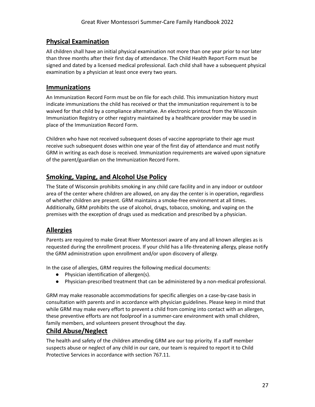## <span id="page-27-0"></span>**Physical Examination**

All children shall have an initial physical examination not more than one year prior to nor later than three months after their first day of attendance. The Child Health Report Form must be signed and dated by a licensed medical professional. Each child shall have a subsequent physical examination by a physician at least once every two years.

#### <span id="page-27-1"></span>**Immunizations**

An Immunization Record Form must be on file for each child. This immunization history must indicate immunizations the child has received or that the immunization requirement is to be waived for that child by a compliance alternative. An electronic printout from the Wisconsin Immunization Registry or other registry maintained by a healthcare provider may be used in place of the Immunization Record Form.

Children who have not received subsequent doses of vaccine appropriate to their age must receive such subsequent doses within one year of the first day of attendance and must notify GRM in writing as each dose is received. Immunization requirements are waived upon signature of the parent/guardian on the Immunization Record Form.

## <span id="page-27-2"></span>**Smoking, Vaping, and Alcohol Use Policy**

The State of Wisconsin prohibits smoking in any child care facility and in any indoor or outdoor area of the center where children are allowed, on any day the center is in operation, regardless of whether children are present. GRM maintains a smoke-free environment at all times. Additionally, GRM prohibits the use of alcohol, drugs, tobacco, smoking, and vaping on the premises with the exception of drugs used as medication and prescribed by a physician.

## <span id="page-27-3"></span>**Allergies**

Parents are required to make Great River Montessori aware of any and all known allergies as is requested during the enrollment process. If your child has a life-threatening allergy, please notify the GRM administration upon enrollment and/or upon discovery of allergy.

In the case of allergies, GRM requires the following medical documents:

- Physician identification of allergen(s).
- Physician-prescribed treatment that can be administered by a non-medical professional.

GRM may make reasonable accommodations for specific allergies on a case-by-case basis in consultation with parents and in accordance with physician guidelines. Please keep in mind that while GRM may make every effort to prevent a child from coming into contact with an allergen, these preventive efforts are not foolproof in a summer-care environment with small children, family members, and volunteers present throughout the day.

#### <span id="page-27-4"></span>**Child Abuse/Neglect**

The health and safety of the children attending GRM are our top priority. If a staff member suspects abuse or neglect of any child in our care, our team is required to report it to Child Protective Services in accordance with section 767.11.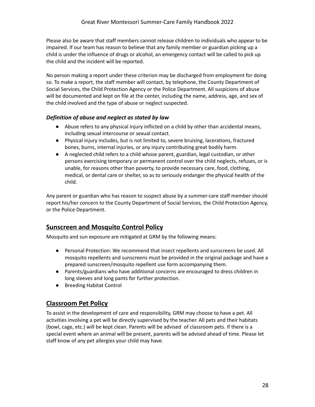Please also be aware that staff members cannot release children to individuals who appear to be impaired. If our team has reason to believe that any family member or guardian picking up a child is under the influence of drugs or alcohol, an emergency contact will be called to pick up the child and the incident will be reported.

No person making a report under these criterion may be discharged from employment for doing so. To make a report, the staff member will contact, by telephone, the County Department of Social Services, the Child Protection Agency or the Police Department. All suspicions of abuse will be documented and kept on file at the center, including the name, address, age, and sex of the child involved and the type of abuse or neglect suspected.

#### <span id="page-28-0"></span>*Definition of abuse and neglect as stated by law*

- Abuse refers to any physical injury inflicted on a child by other than accidental means, including sexual intercourse or sexual contact.
- Physical injury includes, but is not limited to, severe bruising, lacerations, fractured bones, burns, internal injuries, or any injury contributing great bodily harm.
- A neglected child refers to a child whose parent, guardian, legal custodian, or other persons exercising temporary or permanent control over the child neglects, refuses, or is unable, for reasons other than poverty, to provide necessary care, food, clothing, medical, or dental care or shelter, so as to seriously endanger the physical health of the child.

Any parent or guardian who has reason to suspect abuse by a summer-care staff member should report his/her concern to the County Department of Social Services, the Child Protection Agency, or the Police Department.

## <span id="page-28-1"></span>**Sunscreen and Mosquito Control Policy**

Mosquito and sun exposure are mitigated at GRM by the following means:

- Personal Protection: We recommend that insect repellents and sunscreens be used. All mosquito repellents and sunscreens must be provided in the original package and have a prepared sunscreen/mosquito repellent use form accompanying them.
- Parents/guardians who have additional concerns are encouraged to dress children in long sleeves and long pants for further protection.
- Breeding Habitat Control

## <span id="page-28-2"></span>**Classroom Pet Policy**

To assist in the development of care and responsibility, GRM may choose to have a pet. All activities involving a pet will be directly supervised by the teacher. All pets and their habitats (bowl, cage, etc.) will be kept clean. Parents will be advised of classroom pets. If there is a special event where an animal will be present, parents will be advised ahead of time. Please let staff know of any pet allergies your child may have.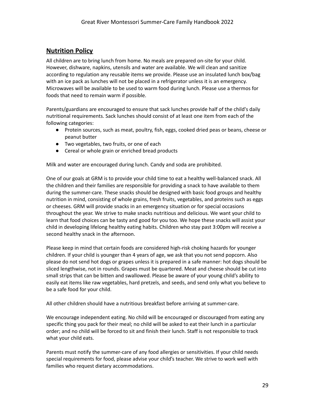## <span id="page-29-0"></span>**Nutrition Policy**

All children are to bring lunch from home. No meals are prepared on-site for your child. However, dishware, napkins, utensils and water are available. We will clean and sanitize according to regulation any reusable items we provide. Please use an insulated lunch box/bag with an ice pack as lunches will not be placed in a refrigerator unless it is an emergency. Microwaves will be available to be used to warm food during lunch. Please use a thermos for foods that need to remain warm if possible.

Parents/guardians are encouraged to ensure that sack lunches provide half of the child's daily nutritional requirements. Sack lunches should consist of at least one item from each of the following categories:

- Protein sources, such as meat, poultry, fish, eggs, cooked dried peas or beans, cheese or peanut butter
- Two vegetables, two fruits, or one of each
- Cereal or whole grain or enriched bread products

Milk and water are encouraged during lunch. Candy and soda are prohibited.

One of our goals at GRM is to provide your child time to eat a healthy well-balanced snack. All the children and their families are responsible for providing a snack to have available to them during the summer-care. These snacks should be designed with basic food groups and healthy nutrition in mind, consisting of whole grains, fresh fruits, vegetables, and proteins such as eggs or cheeses. GRM will provide snacks in an emergency situation or for special occasions throughout the year. We strive to make snacks nutritious and delicious. We want your child to learn that food choices can be tasty and good for you too. We hope these snacks will assist your child in developing lifelong healthy eating habits. Children who stay past 3:00pm will receive a second healthy snack in the afternoon.

Please keep in mind that certain foods are considered high-risk choking hazards for younger children. If your child is younger than 4 years of age, we ask that you not send popcorn. Also please do not send hot dogs or grapes unless it is prepared in a safe manner: hot dogs should be sliced lengthwise, not in rounds. Grapes must be quartered. Meat and cheese should be cut into small strips that can be bitten and swallowed. Please be aware of your young child's ability to easily eat items like raw vegetables, hard pretzels, and seeds, and send only what you believe to be a safe food for your child.

All other children should have a nutritious breakfast before arriving at summer-care.

We encourage independent eating. No child will be encouraged or discouraged from eating any specific thing you pack for their meal; no child will be asked to eat their lunch in a particular order; and no child will be forced to sit and finish their lunch. Staff is not responsible to track what your child eats.

Parents must notify the summer-care of any food allergies or sensitivities. If your child needs special requirements for food, please advise your child's teacher. We strive to work well with families who request dietary accommodations.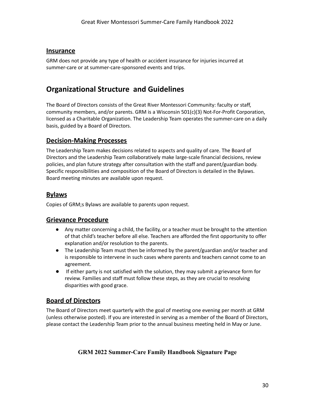#### <span id="page-30-0"></span>**Insurance**

GRM does not provide any type of health or accident insurance for injuries incurred at summer-care or at summer-care-sponsored events and trips.

# <span id="page-30-1"></span>**Organizational Structure and Guidelines**

The Board of Directors consists of the Great River Montessori Community: faculty or staff, community members, and/or parents. GRM is a Wisconsin 501(c)(3) Not-For-Profit Corporation, licensed as a Charitable Organization. The Leadership Team operates the summer-care on a daily basis, guided by a Board of Directors.

#### <span id="page-30-2"></span>**Decision-Making Processes**

The Leadership Team makes decisions related to aspects and quality of care. The Board of Directors and the Leadership Team collaboratively make large-scale financial decisions, review policies, and plan future strategy after consultation with the staff and parent/guardian body. Specific responsibilities and composition of the Board of Directors is detailed in the Bylaws. Board meeting minutes are available upon request.

#### <span id="page-30-3"></span>**Bylaws**

Copies of GRM;s Bylaws are available to parents upon request.

#### <span id="page-30-4"></span>**Grievance Procedure**

- Any matter concerning a child, the facility, or a teacher must be brought to the attention of that child's teacher before all else. Teachers are afforded the first opportunity to offer explanation and/or resolution to the parents.
- The Leadership Team must then be informed by the parent/guardian and/or teacher and is responsible to intervene in such cases where parents and teachers cannot come to an agreement.
- If either party is not satisfied with the solution, they may submit a grievance form for review. Families and staff must follow these steps, as they are crucial to resolving disparities with good grace.

## <span id="page-30-5"></span>**Board of Directors**

The Board of Directors meet quarterly with the goal of meeting one evening per month at GRM (unless otherwise posted). If you are interested in serving as a member of the Board of Directors, please contact the Leadership Team prior to the annual business meeting held in May or June.

#### **GRM 2022 Summer-Care Family Handbook Signature Page**